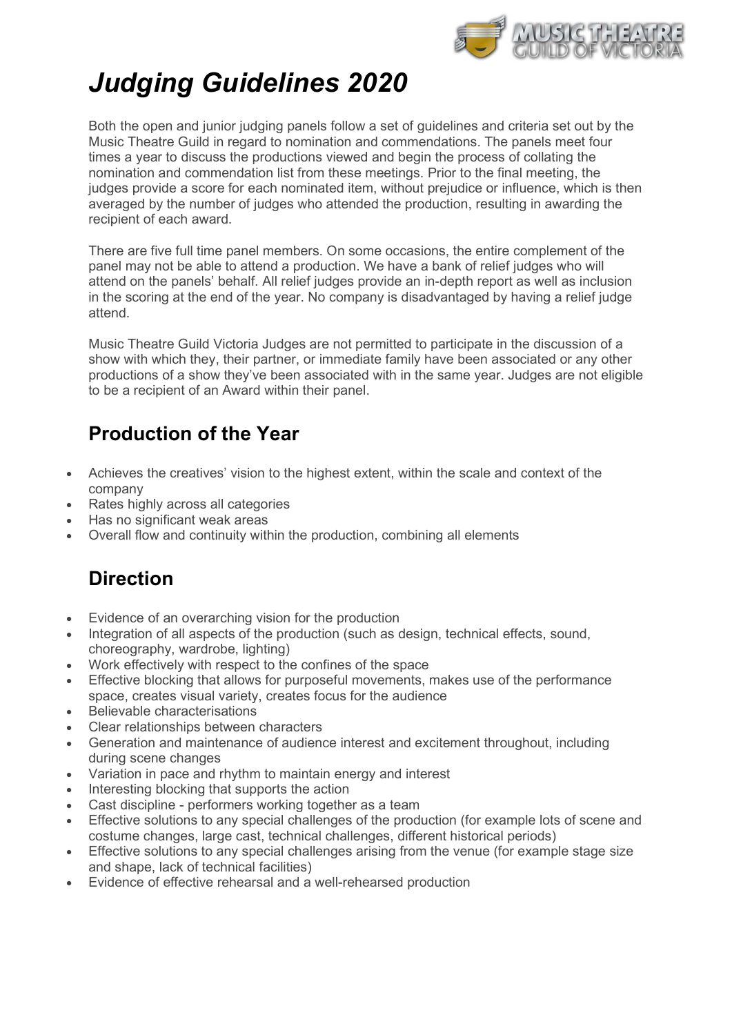

# Judging Guidelines 2020

Both the open and junior judging panels follow a set of guidelines and criteria set out by the Music Theatre Guild in regard to nomination and commendations. The panels meet four times a year to discuss the productions viewed and begin the process of collating the nomination and commendation list from these meetings. Prior to the final meeting, the judges provide a score for each nominated item, without prejudice or influence, which is then averaged by the number of judges who attended the production, resulting in awarding the recipient of each award.

There are five full time panel members. On some occasions, the entire complement of the panel may not be able to attend a production. We have a bank of relief judges who will attend on the panels' behalf. All relief judges provide an in-depth report as well as inclusion in the scoring at the end of the year. No company is disadvantaged by having a relief judge attend.

Music Theatre Guild Victoria Judges are not permitted to participate in the discussion of a show with which they, their partner, or immediate family have been associated or any other productions of a show they've been associated with in the same year. Judges are not eligible to be a recipient of an Award within their panel.

#### Production of the Year

- Achieves the creatives' vision to the highest extent, within the scale and context of the company
- Rates highly across all categories
- Has no significant weak areas
- Overall flow and continuity within the production, combining all elements

#### **Direction**

- Evidence of an overarching vision for the production
- Integration of all aspects of the production (such as design, technical effects, sound, choreography, wardrobe, lighting)
- Work effectively with respect to the confines of the space
- Effective blocking that allows for purposeful movements, makes use of the performance space, creates visual variety, creates focus for the audience
- Believable characterisations
- Clear relationships between characters
- Generation and maintenance of audience interest and excitement throughout, including during scene changes
- Variation in pace and rhythm to maintain energy and interest
- Interesting blocking that supports the action
- Cast discipline performers working together as a team
- Effective solutions to any special challenges of the production (for example lots of scene and costume changes, large cast, technical challenges, different historical periods)
- Effective solutions to any special challenges arising from the venue (for example stage size and shape, lack of technical facilities)
- Evidence of effective rehearsal and a well-rehearsed production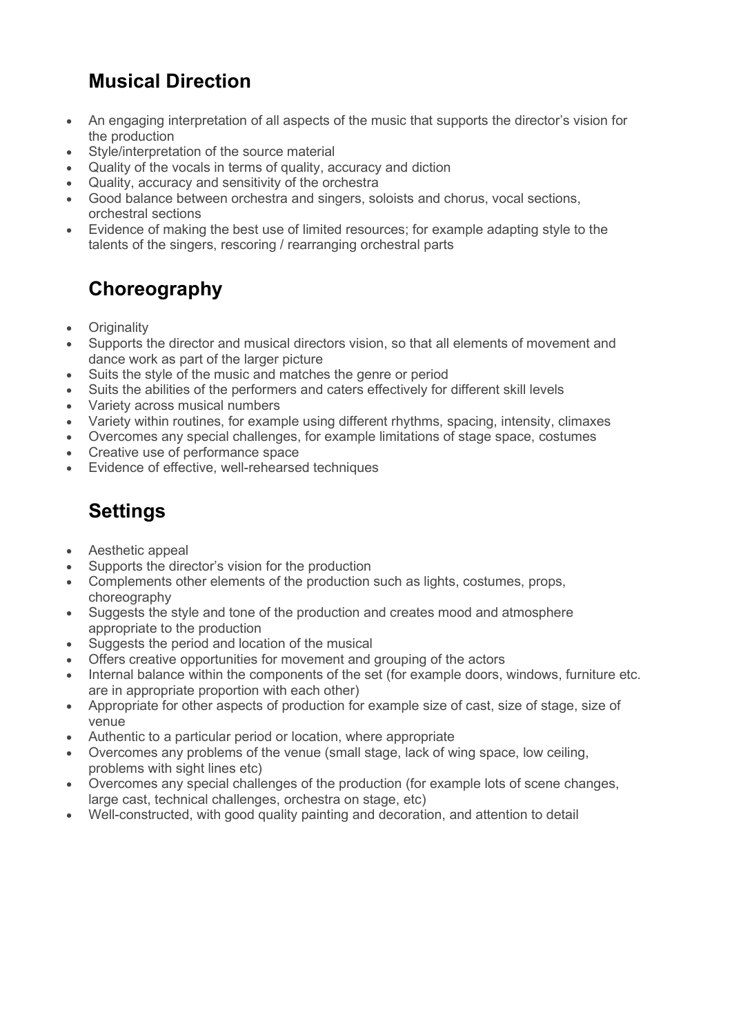## Musical Direction

- An engaging interpretation of all aspects of the music that supports the director's vision for the production
- Style/interpretation of the source material
- Quality of the vocals in terms of quality, accuracy and diction
- Quality, accuracy and sensitivity of the orchestra
- Good balance between orchestra and singers, soloists and chorus, vocal sections, orchestral sections
- Evidence of making the best use of limited resources; for example adapting style to the talents of the singers, rescoring / rearranging orchestral parts

## **Choreography**

- Originality
- Supports the director and musical directors vision, so that all elements of movement and dance work as part of the larger picture
- Suits the style of the music and matches the genre or period
- Suits the abilities of the performers and caters effectively for different skill levels
- Variety across musical numbers
- Variety within routines, for example using different rhythms, spacing, intensity, climaxes
- Overcomes any special challenges, for example limitations of stage space, costumes
- Creative use of performance space
- Evidence of effective, well-rehearsed techniques

## **Settings**

- Aesthetic appeal
- Supports the director's vision for the production
- Complements other elements of the production such as lights, costumes, props, choreography
- Suggests the style and tone of the production and creates mood and atmosphere appropriate to the production
- Suggests the period and location of the musical
- Offers creative opportunities for movement and grouping of the actors
- Internal balance within the components of the set (for example doors, windows, furniture etc. are in appropriate proportion with each other)
- Appropriate for other aspects of production for example size of cast, size of stage, size of venue
- Authentic to a particular period or location, where appropriate
- Overcomes any problems of the venue (small stage, lack of wing space, low ceiling, problems with sight lines etc)
- Overcomes any special challenges of the production (for example lots of scene changes, large cast, technical challenges, orchestra on stage, etc)
- Well-constructed, with good quality painting and decoration, and attention to detail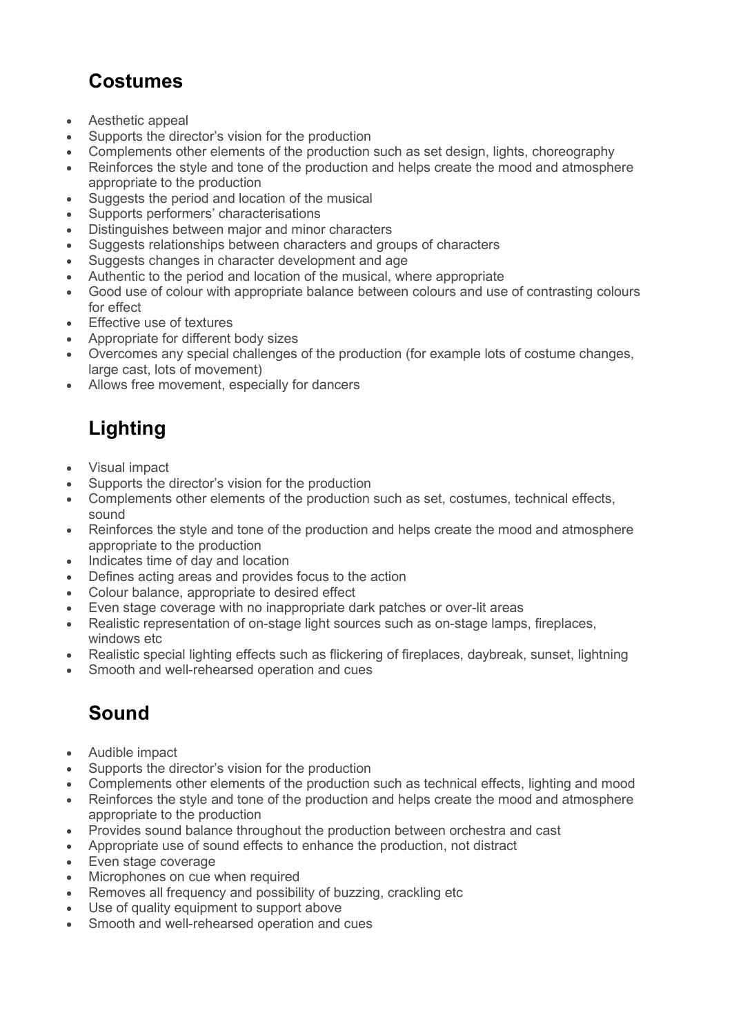## Costumes

- Aesthetic appeal
- Supports the director's vision for the production
- Complements other elements of the production such as set design, lights, choreography
- Reinforces the style and tone of the production and helps create the mood and atmosphere appropriate to the production
- Suggests the period and location of the musical
- Supports performers' characterisations
- Distinguishes between major and minor characters
- Suggests relationships between characters and groups of characters
- Suggests changes in character development and age
- Authentic to the period and location of the musical, where appropriate
- Good use of colour with appropriate balance between colours and use of contrasting colours for effect
- Effective use of textures
- Appropriate for different body sizes
- Overcomes any special challenges of the production (for example lots of costume changes, large cast, lots of movement)
- Allows free movement, especially for dancers

## Lighting

- Visual impact
- Supports the director's vision for the production
- Complements other elements of the production such as set, costumes, technical effects, sound
- Reinforces the style and tone of the production and helps create the mood and atmosphere appropriate to the production
- Indicates time of day and location
- Defines acting areas and provides focus to the action
- Colour balance, appropriate to desired effect
- Even stage coverage with no inappropriate dark patches or over-lit areas
- Realistic representation of on-stage light sources such as on-stage lamps, fireplaces, windows etc
- Realistic special lighting effects such as flickering of fireplaces, daybreak, sunset, lightning
- Smooth and well-rehearsed operation and cues

## Sound

- Audible impact
- Supports the director's vision for the production
- Complements other elements of the production such as technical effects, lighting and mood
- Reinforces the style and tone of the production and helps create the mood and atmosphere appropriate to the production
- Provides sound balance throughout the production between orchestra and cast
- Appropriate use of sound effects to enhance the production, not distract
- Even stage coverage
- Microphones on cue when required
- Removes all frequency and possibility of buzzing, crackling etc
- Use of quality equipment to support above
- Smooth and well-rehearsed operation and cues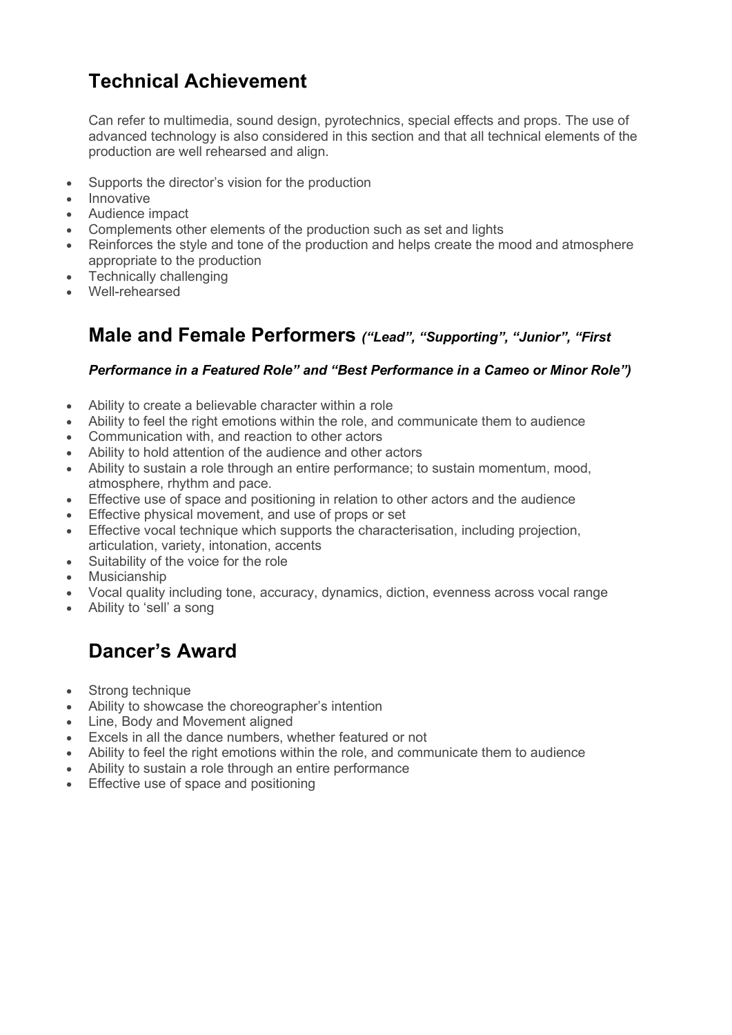## Technical Achievement

Can refer to multimedia, sound design, pyrotechnics, special effects and props. The use of advanced technology is also considered in this section and that all technical elements of the production are well rehearsed and align.

- Supports the director's vision for the production
- Innovative
- Audience impact
- Complements other elements of the production such as set and lights
- Reinforces the style and tone of the production and helps create the mood and atmosphere appropriate to the production
- Technically challenging
- Well-rehearsed

#### Male and Female Performers ("Lead", "Supporting", "Junior", "First

#### Performance in a Featured Role" and "Best Performance in a Cameo or Minor Role")

- Ability to create a believable character within a role
- Ability to feel the right emotions within the role, and communicate them to audience
- Communication with, and reaction to other actors
- Ability to hold attention of the audience and other actors
- Ability to sustain a role through an entire performance; to sustain momentum, mood, atmosphere, rhythm and pace.
- Effective use of space and positioning in relation to other actors and the audience
- Effective physical movement, and use of props or set
- Effective vocal technique which supports the characterisation, including projection, articulation, variety, intonation, accents
- Suitability of the voice for the role
- Musicianship
- Vocal quality including tone, accuracy, dynamics, diction, evenness across vocal range
- Ability to 'sell' a song

#### Dancer's Award

- Strong technique
- Ability to showcase the choreographer's intention
- Line, Body and Movement aligned
- Excels in all the dance numbers, whether featured or not
- Ability to feel the right emotions within the role, and communicate them to audience
- Ability to sustain a role through an entire performance
- Effective use of space and positioning